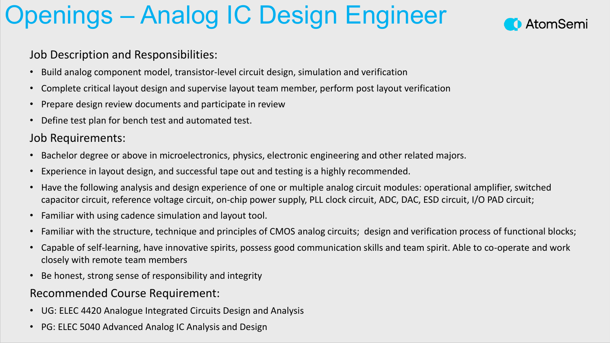## Openings – Analog IC Design Engineer



#### Job Description and Responsibilities:

- Build analog component model, transistor-level circuit design, simulation and verification
- Complete critical layout design and supervise layout team member, perform post layout verification
- Prepare design review documents and participate in review
- Define test plan for bench test and automated test.

### Job Requirements:

- Bachelor degree or above in microelectronics, physics, electronic engineering and other related majors.
- Experience in layout design, and successful tape out and testing is a highly recommended.
- Have the following analysis and design experience of one or multiple analog circuit modules: operational amplifier, switched capacitor circuit, reference voltage circuit, on-chip power supply, PLL clock circuit, ADC, DAC, ESD circuit, I/O PAD circuit;
- Familiar with using cadence simulation and layout tool.
- Familiar with the structure, technique and principles of CMOS analog circuits; design and verification process of functional blocks;
- Capable of self-learning, have innovative spirits, possess good communication skills and team spirit. Able to co-operate and work closely with remote team members
- Be honest, strong sense of responsibility and integrity

### Recommended Course Requirement:

- UG: ELEC 4420 Analogue Integrated Circuits Design and Analysis
- PG: ELEC 5040 Advanced Analog IC Analysis and Design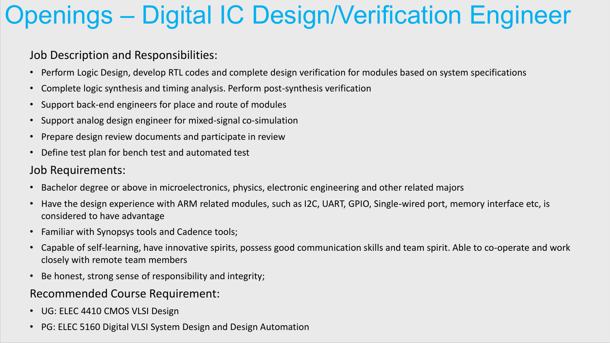## Openings – Digital IC Design/Verification Engineer

### Job Description and Responsibilities:

- Perform Logic Design, develop RTL codes and complete design verification for modules based on system specifications
- Complete logic synthesis and timing analysis. Perform post-synthesis verification
- Support back-end engineers for place and route of modules
- Support analog design engineer for mixed-signal co-simulation
- Prepare design review documents and participate in review
- Define test plan for bench test and automated test

#### Job Requirements:

- Bachelor degree or above in microelectronics, physics, electronic engineering and other related majors
- Have the design experience with ARM related modules, such as I2C, UART, GPIO, Single-wired port, memory interface etc, is considered to have advantage
- Familiar with Synopsys tools and Cadence tools;
- Capable of self-learning, have innovative spirits, possess good communication skills and team spirit. Able to co-operate and work closely with remote team members
- Be honest, strong sense of responsibility and integrity;

### Recommended Course Requirement:

- UG: ELEC 4410 CMOS VLSI Design
- PG: ELEC 5160 Digital VLSI System Design and Design Automation